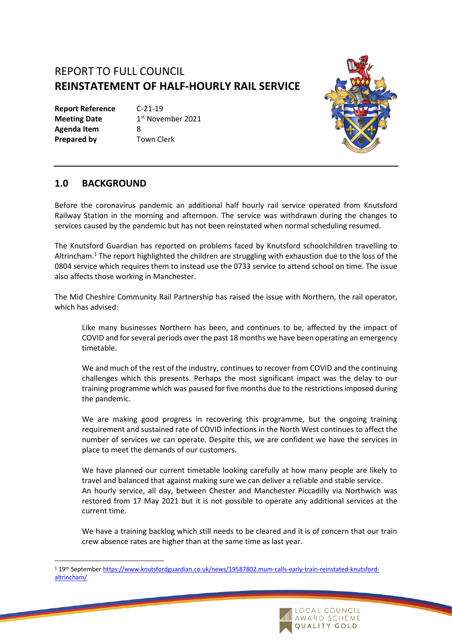## REPORT TO FULL COUNCIL **REINSTATEMENT OF HALF-HOURLY RAIL SERVICE**

**Report Reference** C-21-19 **Meeting Date Agenda Item** 8 **Prepared by Town Clerk** 

1<sup>st</sup> November 2021



## **1.0 BACKGROUND**

Before the coronavirus pandemic an additional half hourly rail service operated from Knutsford Railway Station in the morning and afternoon. The service was withdrawn during the changes to services caused by the pandemic but has not been reinstated when normal scheduling resumed.

The Knutsford Guardian has reported on problems faced by Knutsford schoolchildren travelling to Altrincham. <sup>1</sup> The report highlighted the children are struggling with exhaustion due to the loss of the 0804 service which requires them to instead use the 0733 service to attend school on time. The issue also affects those working in Manchester.

The Mid Cheshire Community Rail Partnership has raised the issue with Northern, the rail operator, which has advised:

Like many businesses Northern has been, and continues to be, affected by the impact of COVID and for several periods over the past 18 months we have been operating an emergency timetable.

We and much of the rest of the industry, continues to recover from COVID and the continuing challenges which this presents. Perhaps the most significant impact was the delay to our training programme which was paused for five months due to the restrictions imposed during the pandemic.

We are making good progress in recovering this programme, but the ongoing training requirement and sustained rate of COVID infections in the North West continues to affect the number of services we can operate. Despite this, we are confident we have the services in place to meet the demands of our customers.

We have planned our current timetable looking carefully at how many people are likely to travel and balanced that against making sure we can deliver a reliable and stable service. An hourly service, all day, between Chester and Manchester Piccadilly via Northwich was restored from 17 May 2021 but it is not possible to operate any additional services at the current time.

We have a training backlog which still needs to be cleared and it is of concern that our train crew absence rates are higher than at the same time as last year.

<sup>1</sup> 19th September [https://www.knutsfordguardian.co.uk/news/19587802.mum-calls-early-train-reinstated-knutsford](https://www.knutsfordguardian.co.uk/news/19587802.mum-calls-early-train-reinstated-knutsford-altrincham/)[altrincham/](https://www.knutsfordguardian.co.uk/news/19587802.mum-calls-early-train-reinstated-knutsford-altrincham/)